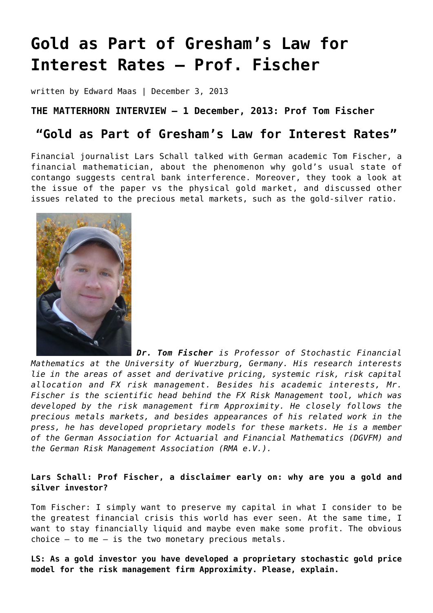# **[Gold as Part of Gresham's Law for](https://goldswitzerland.com/gold-as-part-of-greshams-law-for-interest-rates-fischer/) [Interest Rates – Prof. Fischer](https://goldswitzerland.com/gold-as-part-of-greshams-law-for-interest-rates-fischer/)**

written by Edward Maas | December 3, 2013

## **THE MATTERHORN INTERVIEW – 1 December, 2013: Prof Tom Fischer**

## **"Gold as Part of Gresham's Law for Interest Rates"**

Financial journalist Lars Schall talked with German academic Tom Fischer, a financial mathematician, about the phenomenon why gold's usual state of contango suggests central bank interference. Moreover, they took a look at the issue of the paper vs the physical gold market, and discussed other issues related to the precious metal markets, such as the gold-silver ratio.



*Dr. Tom Fischer is Professor of Stochastic Financial Mathematics at the University of Wuerzburg, Germany. His research interests lie in the areas of asset and derivative pricing, systemic risk, risk capital allocation and FX risk management. Besides his academic interests, Mr. Fischer is the scientific head behind the FX Risk Management tool, which was developed by the risk management firm Approximity. He closely follows the precious metals markets, and besides appearances of his related work in the press, he has developed proprietary models for these markets. He is a member of the German Association for Actuarial and Financial Mathematics (DGVFM) and the German Risk Management Association (RMA e.V.).*

## **Lars Schall: Prof Fischer, a disclaimer early on: why are you a gold and silver investor?**

Tom Fischer: I simply want to preserve my capital in what I consider to be the greatest financial crisis this world has ever seen. At the same time, I want to stay financially liquid and maybe even make some profit. The obvious choice – to me – is the two monetary precious metals.

**LS: As a gold investor you have developed a proprietary stochastic gold price model for the risk management firm Approximity. Please, explain.**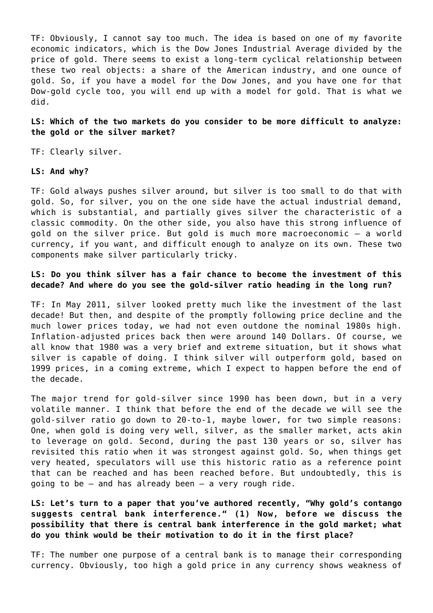TF: Obviously, I cannot say too much. The idea is based on one of my favorite economic indicators, which is the Dow Jones Industrial Average divided by the price of gold. There seems to exist a long-term cyclical relationship between these two real objects: a share of the American industry, and one ounce of gold. So, if you have a model for the Dow Jones, and you have one for that Dow-gold cycle too, you will end up with a model for gold. That is what we did.

#### **LS: Which of the two markets do you consider to be more difficult to analyze: the gold or the silver market?**

TF: Clearly silver.

#### **LS: And why?**

TF: Gold always pushes silver around, but silver is too small to do that with gold. So, for silver, you on the one side have the actual industrial demand, which is substantial, and partially gives silver the characteristic of a classic commodity. On the other side, you also have this strong influence of gold on the silver price. But gold is much more macroeconomic – a world currency, if you want, and difficult enough to analyze on its own. These two components make silver particularly tricky.

## **LS: Do you think silver has a fair chance to become the investment of this decade? And where do you see the gold-silver ratio heading in the long run?**

TF: In May 2011, silver looked pretty much like the investment of the last decade! But then, and despite of the promptly following price decline and the much lower prices today, we had not even outdone the nominal 1980s high. Inflation-adjusted prices back then were around 140 Dollars. Of course, we all know that 1980 was a very brief and extreme situation, but it shows what silver is capable of doing. I think silver will outperform gold, based on 1999 prices, in a coming extreme, which I expect to happen before the end of the decade.

The major trend for gold-silver since 1990 has been down, but in a very volatile manner. I think that before the end of the decade we will see the gold-silver ratio go down to 20-to-1, maybe lower, for two simple reasons: One, when gold is doing very well, silver, as the smaller market, acts akin to leverage on gold. Second, during the past 130 years or so, silver has revisited this ratio when it was strongest against gold. So, when things get very heated, speculators will use this historic ratio as a reference point that can be reached and has been reached before. But undoubtedly, this is going to be – and has already been – a very rough ride.

**LS: Let's turn to a paper that you've authored recently, "Why gold's contango suggests central bank interference." (1) Now, before we discuss the possibility that there is central bank interference in the gold market; what do you think would be their motivation to do it in the first place?**

TF: The number one purpose of a central bank is to manage their corresponding currency. Obviously, too high a gold price in any currency shows weakness of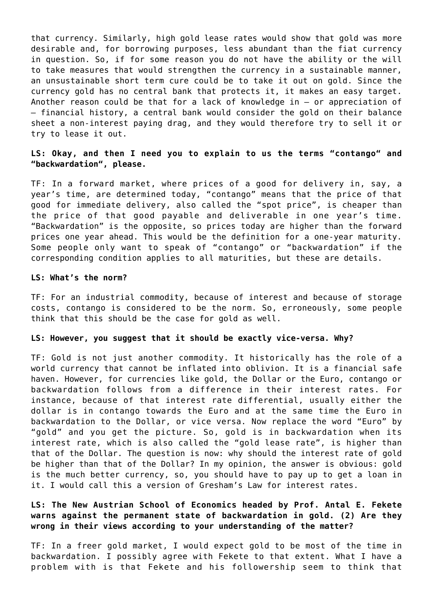that currency. Similarly, high gold lease rates would show that gold was more desirable and, for borrowing purposes, less abundant than the fiat currency in question. So, if for some reason you do not have the ability or the will to take measures that would strengthen the currency in a sustainable manner, an unsustainable short term cure could be to take it out on gold. Since the currency gold has no central bank that protects it, it makes an easy target. Another reason could be that for a lack of knowledge in – or appreciation of – financial history, a central bank would consider the gold on their balance sheet a non-interest paying drag, and they would therefore try to sell it or try to lease it out.

### **LS: Okay, and then I need you to explain to us the terms "contango" and "backwardation", please.**

TF: In a forward market, where prices of a good for delivery in, say, a year's time, are determined today, "contango" means that the price of that good for immediate delivery, also called the "spot price", is cheaper than the price of that good payable and deliverable in one year's time. "Backwardation" is the opposite, so prices today are higher than the forward prices one year ahead. This would be the definition for a one-year maturity. Some people only want to speak of "contango" or "backwardation" if the corresponding condition applies to all maturities, but these are details.

#### **LS: What's the norm?**

TF: For an industrial commodity, because of interest and because of storage costs, contango is considered to be the norm. So, erroneously, some people think that this should be the case for gold as well.

#### **LS: However, you suggest that it should be exactly vice-versa. Why?**

TF: Gold is not just another commodity. It historically has the role of a world currency that cannot be inflated into oblivion. It is a financial safe haven. However, for currencies like gold, the Dollar or the Euro, contango or backwardation follows from a difference in their interest rates. For instance, because of that interest rate differential, usually either the dollar is in contango towards the Euro and at the same time the Euro in backwardation to the Dollar, or vice versa. Now replace the word "Euro" by "gold" and you get the picture. So, gold is in backwardation when its interest rate, which is also called the "gold lease rate", is higher than that of the Dollar. The question is now: why should the interest rate of gold be higher than that of the Dollar? In my opinion, the answer is obvious: gold is the much better currency, so, you should have to pay up to get a loan in it. I would call this a version of Gresham's Law for interest rates.

## **LS: The New Austrian School of Economics headed by Prof. Antal E. Fekete warns against the permanent state of backwardation in gold. (2) Are they wrong in their views according to your understanding of the matter?**

TF: In a freer gold market, I would expect gold to be most of the time in backwardation. I possibly agree with Fekete to that extent. What I have a problem with is that Fekete and his followership seem to think that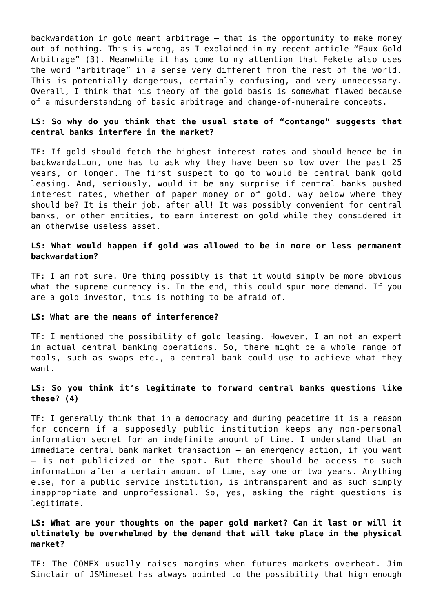backwardation in gold meant arbitrage – that is the opportunity to make money out of nothing. This is wrong, as I explained in my recent article "Faux Gold Arbitrage" (3). Meanwhile it has come to my attention that Fekete also uses the word "arbitrage" in a sense very different from the rest of the world. This is potentially dangerous, certainly confusing, and very unnecessary. Overall, I think that his theory of the gold basis is somewhat flawed because of a misunderstanding of basic arbitrage and change-of-numeraire concepts.

## **LS: So why do you think that the usual state of "contango" suggests that central banks interfere in the market?**

TF: If gold should fetch the highest interest rates and should hence be in backwardation, one has to ask why they have been so low over the past 25 years, or longer. The first suspect to go to would be central bank gold leasing. And, seriously, would it be any surprise if central banks pushed interest rates, whether of paper money or of gold, way below where they should be? It is their job, after all! It was possibly convenient for central banks, or other entities, to earn interest on gold while they considered it an otherwise useless asset.

#### **LS: What would happen if gold was allowed to be in more or less permanent backwardation?**

TF: I am not sure. One thing possibly is that it would simply be more obvious what the supreme currency is. In the end, this could spur more demand. If you are a gold investor, this is nothing to be afraid of.

#### **LS: What are the means of interference?**

TF: I mentioned the possibility of gold leasing. However, I am not an expert in actual central banking operations. So, there might be a whole range of tools, such as swaps etc., a central bank could use to achieve what they want.

## **LS: So you think it's legitimate to forward central banks questions like these? (4)**

TF: I generally think that in a democracy and during peacetime it is a reason for concern if a supposedly public institution keeps any non-personal information secret for an indefinite amount of time. I understand that an immediate central bank market transaction – an emergency action, if you want – is not publicized on the spot. But there should be access to such information after a certain amount of time, say one or two years. Anything else, for a public service institution, is intransparent and as such simply inappropriate and unprofessional. So, yes, asking the right questions is legitimate.

## **LS: What are your thoughts on the paper gold market? Can it last or will it ultimately be overwhelmed by the demand that will take place in the physical market?**

TF: The COMEX usually raises margins when futures markets overheat. Jim Sinclair of JSMineset has always pointed to the possibility that high enough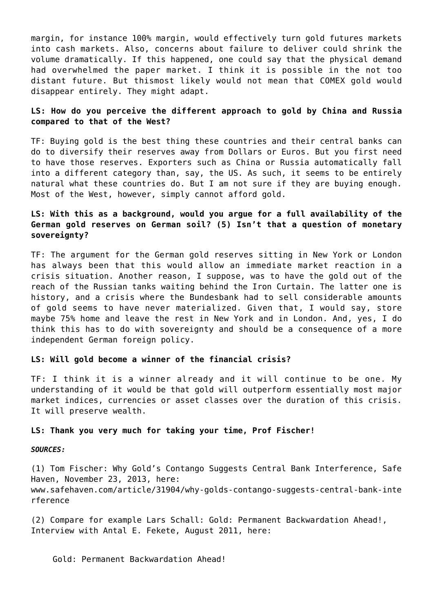margin, for instance 100% margin, would effectively turn gold futures markets into cash markets. Also, concerns about failure to deliver could shrink the volume dramatically. If this happened, one could say that the physical demand had overwhelmed the paper market. I think it is possible in the not too distant future. But thismost likely would not mean that COMEX gold would disappear entirely. They might adapt.

## **LS: How do you perceive the different approach to gold by China and Russia compared to that of the West?**

TF: Buying gold is the best thing these countries and their central banks can do to diversify their reserves away from Dollars or Euros. But you first need to have those reserves. Exporters such as China or Russia automatically fall into a different category than, say, the US. As such, it seems to be entirely natural what these countries do. But I am not sure if they are buying enough. Most of the West, however, simply cannot afford gold.

## **LS: With this as a background, would you argue for a full availability of the German gold reserves on German soil? (5) Isn't that a question of monetary sovereignty?**

TF: The argument for the German gold reserves sitting in New York or London has always been that this would allow an immediate market reaction in a crisis situation. Another reason, I suppose, was to have the gold out of the reach of the Russian tanks waiting behind the Iron Curtain. The latter one is history, and a crisis where the Bundesbank had to sell considerable amounts of gold seems to have never materialized. Given that, I would say, store maybe 75% home and leave the rest in New York and in London. And, yes, I do think this has to do with sovereignty and should be a consequence of a more independent German foreign policy.

#### **LS: Will gold become a winner of the financial crisis?**

TF: I think it is a winner already and it will continue to be one. My understanding of it would be that gold will outperform essentially most major market indices, currencies or asset classes over the duration of this crisis. It will preserve wealth.

#### **LS: Thank you very much for taking your time, Prof Fischer!**

#### *SOURCES:*

(1) Tom Fischer: Why Gold's Contango Suggests Central Bank Interference, Safe Haven, November 23, 2013, here: www.safehaven.com/article/31904/why-golds-contango-suggests-central-bank-inte rference

(2) Compare for example Lars Schall: Gold: Permanent Backwardation Ahead!, Interview with Antal E. Fekete, August 2011, here:

[Gold: Permanent Backwardation Ahead!](https://www.larsschall.com/2011/08/27/gold-permanent-backwardation-ahead/)